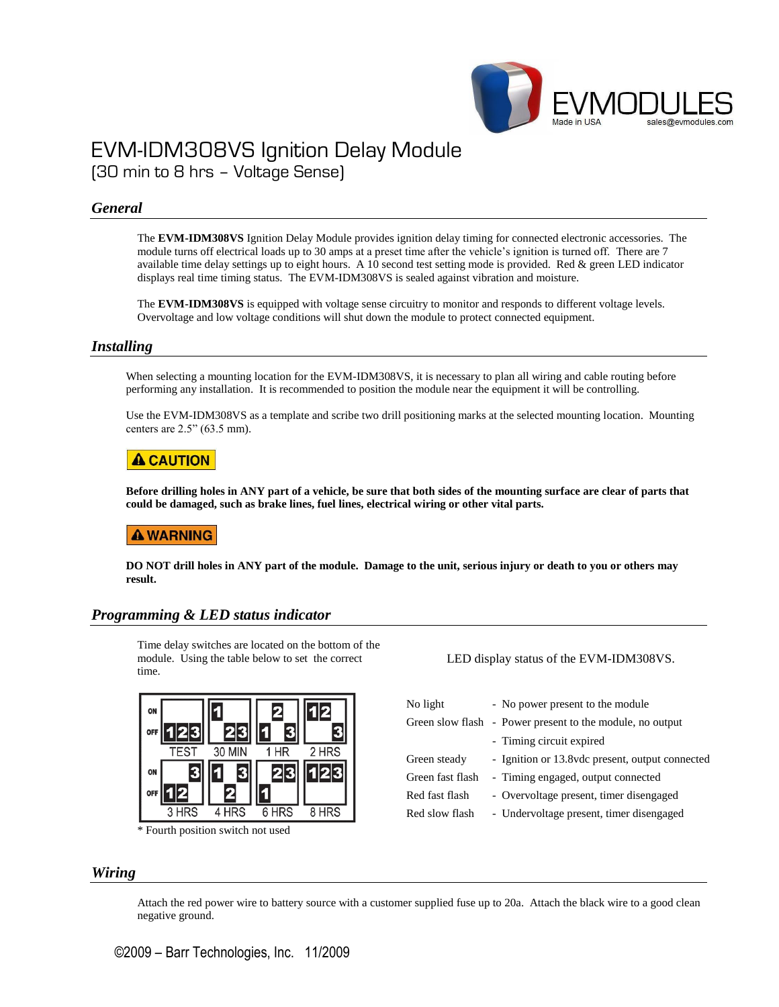

# EVM-IDM308VS Ignition Delay Module (30 min to 8 hrs – Voltage Sense)

### *General*

The **EVM-IDM308VS** Ignition Delay Module provides ignition delay timing for connected electronic accessories. The module turns off electrical loads up to 30 amps at a preset time after the vehicle's ignition is turned off. There are 7 available time delay settings up to eight hours. A 10 second test setting mode is provided. Red & green LED indicator displays real time timing status. The EVM-IDM308VS is sealed against vibration and moisture.

The **EVM-IDM308VS** is equipped with voltage sense circuitry to monitor and responds to different voltage levels. Overvoltage and low voltage conditions will shut down the module to protect connected equipment.

#### *Installing*

When selecting a mounting location for the EVM-IDM308VS, it is necessary to plan all wiring and cable routing before performing any installation. It is recommended to position the module near the equipment it will be controlling.

Use the EVM-IDM308VS as a template and scribe two drill positioning marks at the selected mounting location. Mounting centers are 2.5" (63.5 mm).

### **A CAUTION**

**Before drilling holes in ANY part of a vehicle, be sure that both sides of the mounting surface are clear of parts that could be damaged, such as brake lines, fuel lines, electrical wiring or other vital parts.**

### **A WARNING**

**DO NOT drill holes in ANY part of the module. Damage to the unit, serious injury or death to you or others may result.**

### *Programming & LED status indicator*

Time delay switches are located on the bottom of the module. Using the table below to set the correct time.



\* Fourth position switch not used

LED display status of the EVM-IDM308VS.

| No light         | - No power present to the module                          |
|------------------|-----------------------------------------------------------|
|                  | Green slow flash - Power present to the module, no output |
|                  | - Timing circuit expired                                  |
| Green steady     | - Ignition or 13.8 vdc present, output connected          |
| Green fast flash | - Timing engaged, output connected                        |
| Red fast flash   | - Overvoltage present, timer disengaged                   |
| Red slow flash   | - Undervoltage present, timer disengaged                  |
|                  |                                                           |

#### *Wiring*

Attach the red power wire to battery source with a customer supplied fuse up to 20a. Attach the black wire to a good clean negative ground.